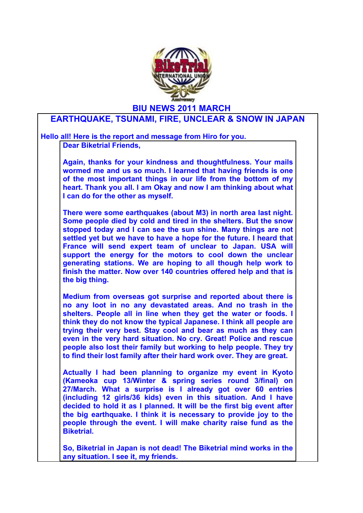

**BIU NEWS 2011 MARCH**

## **EARTHQUAKE, TSUNAMI, FIRE, UNCLEAR & SNOW IN JAPAN**

**Hello all! Here is the report and message from Hiro for you. Dear Biketrial Friends,**

> **Again, thanks for your kindness and thoughtfulness. Your mails wormed me and us so much. I learned that having friends is one of the most important things in our life from the bottom of my heart. Thank you all. I am Okay and now I am thinking about what I can do for the other as myself.**

> **There were some earthquakes (about M3) in north area last night. Some people died by cold and tired in the shelters. But the snow stopped today and I can see the sun shine. Many things are not settled yet but we have to have a hope for the future. I heard that France will send expert team of unclear to Japan. USA will support the energy for the motors to cool down the unclear generating stations. We are hoping to all though help work to finish the matter. Now over 140 countries offered help and that is the big thing.**

> **Medium from overseas got surprise and reported about there is no any loot in no any devastated areas. And no trash in the shelters. People all in line when they get the water or foods. I think they do not know the typical Japanese. I think all people are trying their very best. Stay cool and bear as much as they can even in the very hard situation. No cry. Great! Police and rescue people also lost their family but working to help people. They try to find their lost family after their hard work over. They are great.**

> **Actually I had been planning to organize my event in Kyoto (Kameoka cup 13/Winter & spring series round 3/final) on 27/March. What a surprise is I already got over 60 entries (including 12 girls/36 kids) even in this situation. And I have decided to hold it as I planned. It will be the first big event after the big earthquake. I think it is necessary to provide joy to the people through the event. I will make charity raise fund as the Biketrial.**

> **So, Biketrial in Japan is not dead! The Biketrial mind works in the any situation. I see it, my friends.**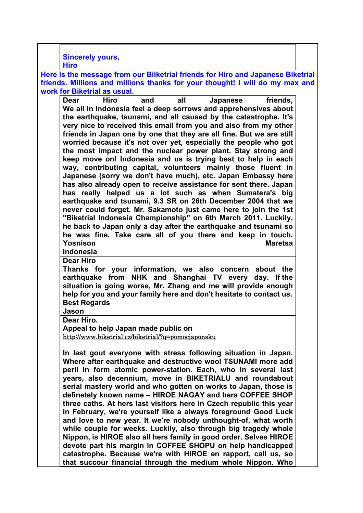**Sincerely yours,**

**Hiro**

**Here is the message from our Biiketrial friends for Hiro and Japanese Biketrial friends. Millions and millions thanks for your thought! I will do my max and work for Biketrial as usual.**

**Dear Hiro and all Japanese friends, We all in Indonesia feel a deep sorrows and apprehensives about the earthquake, tsunami, and all caused by the catastrophe. It's very nice to received this email from you and also from my other friends in Japan one by one that they are all fine. But we are still worried because it's not over yet, especially the people who got the most impact and the nuclear power plant. Stay strong and keep move on! Indonesia and us is trying best to help in each way, contributing capital, volunteers mainly those fluent in Japanese (sorry we don't have much), etc. Japan Embassy here has also already open to receive assistance for sent there. Japan has really helped us a lot such as when Sumatera's big earthquake and tsunami, 9.3 SR on 26th December 2004 that we never could forget. Mr. Sakamoto just came here to join the 1st "Biketrial Indonesia Championship" on 6th March 2011. Luckily, he back to Japan only a day after the earthquake and tsunami so he was fine. Take care all of you there and keep in touch. Yosnison Maretsa Indonesia**

**Dear Hiro**

**Thanks for your information, we also concern about the earthquake from NHK and Shanghai TV every day. If the situation is going worse, Mr. Zhang and me will provide enough help for you and your family here and don't hesitate to contact us. Best Regards**

**Jason**

**Dear Hiro.**

**Appeal to help Japan made public on** 

http://www.biketrial.cz/biketrial/?q=pomocjaponsku

**In last gout everyone with stress following situation in Japan. Where after earthquake and destructive wool TSUNAMI more add peril in form atomic power-station. Each, who in several last years, also decennium, move in BIKETRIALU and roundabout serial mastery world and who gotten on works to Japan, those is definetely known name – HIROE NAGAY and hers COFFEE SHOP three caths. At hers last visitors here in Czech republic this year in February, we're yourself like a always foreground Good Luck and love to new year. It we're nobody unthought-of, what worth while couple for weeks. Luckily, also through big tragedy whole Nippon, is HIROE also all hers family in good order. Selves HIROE devote part his margin in COFFEE SHOPU on help handicapped catastrophe. Because we're with HIROE en rapport, call us, so that succour financial through the medium whole Nippon. Who**